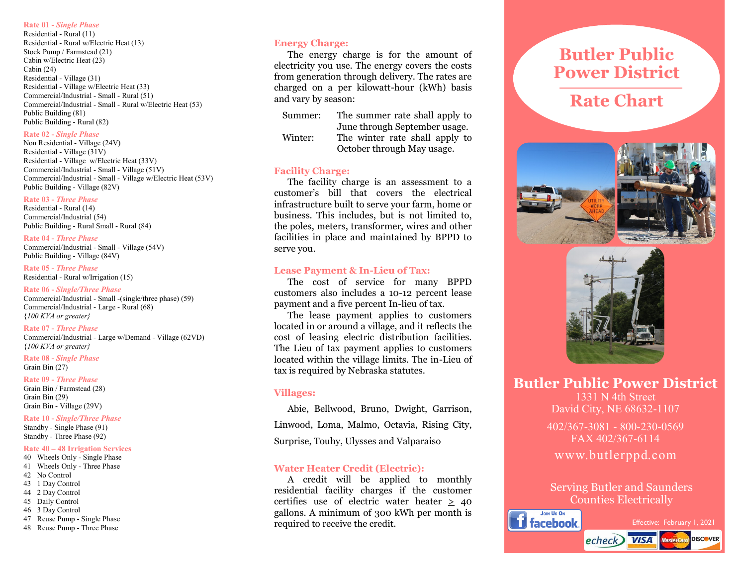## **Rate 01 -** *Single Phase*

Residential - Rural (11) Residential - Rural w/Electric Heat (13) Stock Pump / Farmstead (21) Cabin w/Electric Heat (23) Cabin (24) Residential - Village (31) Residential - Village w/Electric Heat (33) Commercial/Industrial - Small - Rural (51) Commercial/Industrial - Small - Rural w/Electric Heat (53) Public Building (81) Public Building - Rural (82)

## **Rate 02 -** *Single Phase*

Non Residential - Village (24V) Residential - Village (31V) Residential - Village w/Electric Heat (33V) Commercial/Industrial - Small - Village (51V) Commercial/Industrial - Small - Village w/Electric Heat (53V) Public Building - Village (82V)

#### **Rate 03 -** *Three Phase*

Residential - Rural (14) Commercial/Industrial (54) Public Building - Rural Small - Rural (84)

### **Rate 04 -** *Three Phase*

Commercial/Industrial - Small - Village (54V) Public Building - Village (84V)

**Rate 05 -** *Three Phase* Residential - Rural w/Irrigation (15)

**Rate 06 -** *Single/Three Phase* Commercial/Industrial - Small -(single/three phase) (59) Commercial/Industrial - Large - Rural (68) {*100 KVA or greater}*

## **Rate 07 -** *Three Phase*

Commercial/Industrial - Large w/Demand - Village (62VD) {*100 KVA or greater}*

**Rate 08 -** *Single Phase* Grain Bin (27)

**Rate 09 -** *Three Phase* Grain Bin / Farmstead (28) Grain Bin (29) Grain Bin - Village (29V)

**Rate 10 -** *Single/Three Phase* Standby - Single Phase (91) Standby - Three Phase (92)

## **Rate 40 – 48 Irrigation Services**

- 40 Wheels Only Single Phase 41 Wheels Only - Three Phase 42 No Control 43 1 Day Control 44 2 Day Control 45 Daily Control 46 3 Day Control 47 Reuse Pump - Single Phase
- 
- 48 Reuse Pump Three Phase

## **Energy Charge:**

The energy charge is for the amount of electricity you use. The energy covers the costs from generation through delivery. The rates are charged on a per kilowatt-hour (kWh) basis and vary by season:

| Summer: | The summer rate shall apply to |  |  |  |
|---------|--------------------------------|--|--|--|
|         | June through September usage.  |  |  |  |
| Winter: | The winter rate shall apply to |  |  |  |
|         | October through May usage.     |  |  |  |

## **Facility Charge:**

The facility charge is an assessment to a customer's bill that covers the electrical infrastructure built to serve your farm, home or business. This includes, but is not limited to, the poles, meters, transformer, wires and other facilities in place and maintained by BPPD to serve you.

## **Lease Payment & In-Lieu of Tax:**

The cost of service for many BPPD customers also includes a 10-12 percent lease payment and a five percent In-lieu of tax.

The lease payment applies to customers located in or around a village, and it reflects the cost of leasing electric distribution facilities. The Lieu of tax payment applies to customers located within the village limits. The in-Lieu of tax is required by Nebraska statutes.

## **Villages:**

Abie, Bellwood, Bruno, Dwight, Garrison, Linwood, Loma, Malmo, Octavia, Rising City, Surprise, Touhy, Ulysses and Valparaiso

## **Water Heater Credit (Electric):**

A credit will be applied to monthly residential facility charges if the customer certifies use of electric water heater  $\geq$  40 gallons. A minimum of 300 kWh per month is required to receive the credit.

## **Butler Public Power District**

# **Rate Chart**





**Butler Public Power District**

1331 N 4th Street David City, NE 68632-1107

402/367-3081 - 800-230-0569 FAX 402/367-6114 www.butlerppd.com

Serving Butler and Saunders Counties Electrically

JOIN US ON **i** facebook



echeck **VISA** Mastercard DISCOVER